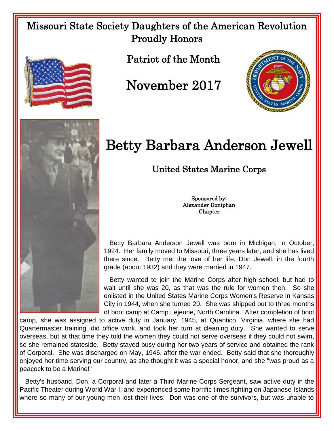Missouri State Society Daughters of the American Revolution Proudly Honors





Patriot of the Month

November 2017



## Betty Barbara Anderson Jewell

United States Marine Corps

Sponsored by: Alexander Doniphan Chapter

 Betty Barbara Anderson Jewell was born in Michigan, in October, 1924. Her family moved to Missouri, three years later, and she has lived there since. Betty met the love of her life, Don Jewell, in the fourth grade (about 1932) and they were married in 1947.

 Betty wanted to join the Marine Corps after high school, but had to wait until she was 20, as that was the rule for women then. So she enlisted in the United States Marine Corps Women's Reserve in Kansas City in 1944, when she turned 20. She was shipped out to three months of boot camp at Camp Lejeune, North Carolina. After completion of boot

camp, she was assigned to active duty in January, 1945, at Quantico, Virginia, where she had Quartermaster training, did office work, and took her turn at cleaning duty. She wanted to serve overseas, but at that time they told the women they could not serve overseas if they could not swim, so she remained stateside. Betty stayed busy during her two years of service and obtained the rank of Corporal. She was discharged on May, 1946, after the war ended. Betty said that she thoroughly enjoyed her time serving our country, as she thought it was a special honor, and she "was proud as a peacock to be a Marine!"

 Betty's husband, Don, a Corporal and later a Third Marine Corps Sergeant, saw active duty in the Pacific Theater during World War II and experienced some horrific times fighting on Japanese Islands where so many of our young men lost their lives. Don was one of the survivors, but was unable to